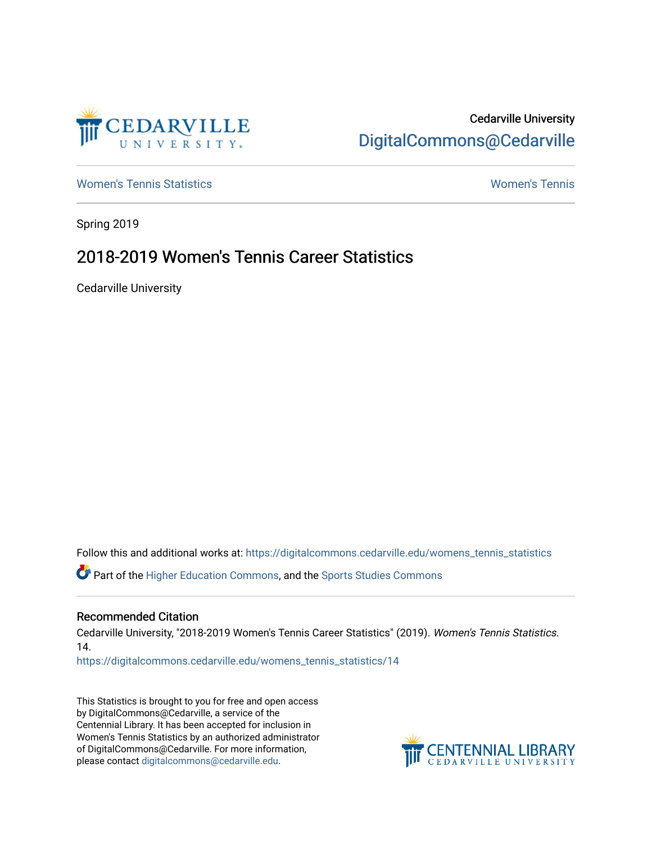

# Cedarville University [DigitalCommons@Cedarville](https://digitalcommons.cedarville.edu/)

[Women's Tennis Statistics](https://digitalcommons.cedarville.edu/womens_tennis_statistics) [Women's Tennis](https://digitalcommons.cedarville.edu/womens_tennis) 

Spring 2019

# 2018-2019 Women's Tennis Career Statistics

Cedarville University

Follow this and additional works at: [https://digitalcommons.cedarville.edu/womens\\_tennis\\_statistics](https://digitalcommons.cedarville.edu/womens_tennis_statistics?utm_source=digitalcommons.cedarville.edu%2Fwomens_tennis_statistics%2F14&utm_medium=PDF&utm_campaign=PDFCoverPages) 

Part of the [Higher Education Commons,](http://network.bepress.com/hgg/discipline/1245?utm_source=digitalcommons.cedarville.edu%2Fwomens_tennis_statistics%2F14&utm_medium=PDF&utm_campaign=PDFCoverPages) and the [Sports Studies Commons](http://network.bepress.com/hgg/discipline/1198?utm_source=digitalcommons.cedarville.edu%2Fwomens_tennis_statistics%2F14&utm_medium=PDF&utm_campaign=PDFCoverPages) 

#### Recommended Citation

Cedarville University, "2018-2019 Women's Tennis Career Statistics" (2019). Women's Tennis Statistics. 14.

[https://digitalcommons.cedarville.edu/womens\\_tennis\\_statistics/14](https://digitalcommons.cedarville.edu/womens_tennis_statistics/14?utm_source=digitalcommons.cedarville.edu%2Fwomens_tennis_statistics%2F14&utm_medium=PDF&utm_campaign=PDFCoverPages) 

This Statistics is brought to you for free and open access by DigitalCommons@Cedarville, a service of the Centennial Library. It has been accepted for inclusion in Women's Tennis Statistics by an authorized administrator of DigitalCommons@Cedarville. For more information, please contact [digitalcommons@cedarville.edu](mailto:digitalcommons@cedarville.edu).

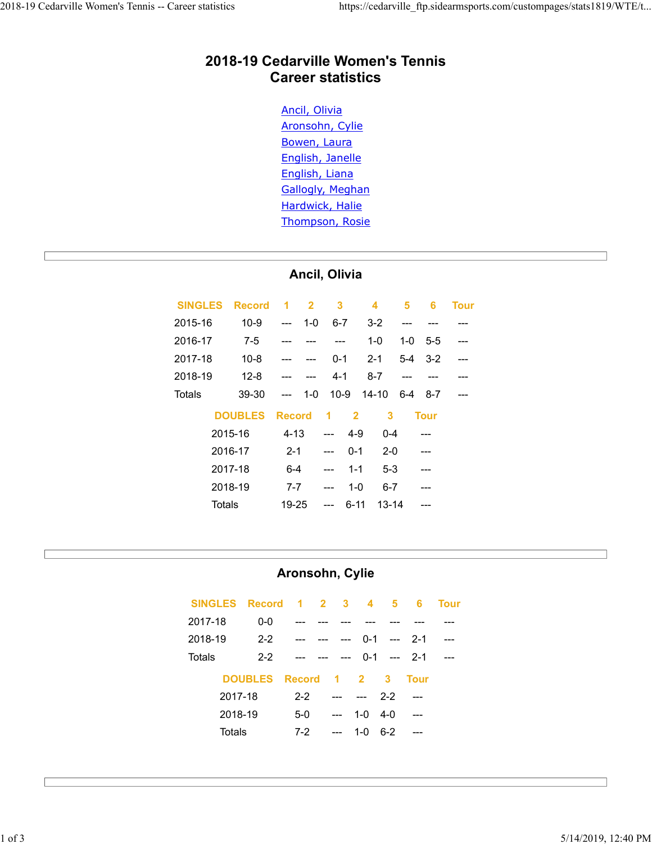# 2018-19 Cedarville Women's Tennis Career statistics 2018-19 Cedarville Women's Tennis -- Career statistics https://cedarville\_ftp.sidearmsports.com/custompages/stats1819/WTE/t...<br>2018-19 Cedarville Women's Tennis

#### Ancil, Olivia

| 2018-19 Cedarville Women's Tennis<br><b>Career statistics</b>                                                                                                                                                                                                                                                                                                                                                                                                                                                                                                                                                                                                                                                                                                                                                                               |  |
|---------------------------------------------------------------------------------------------------------------------------------------------------------------------------------------------------------------------------------------------------------------------------------------------------------------------------------------------------------------------------------------------------------------------------------------------------------------------------------------------------------------------------------------------------------------------------------------------------------------------------------------------------------------------------------------------------------------------------------------------------------------------------------------------------------------------------------------------|--|
| Ancil, Olivia<br>Aronsohn, Cylie<br>Bowen, Laura<br>English, Janelle<br>English, Liana<br><b>Gallogly, Meghan</b><br>Hardwick, Halie<br>Thompson, Rosie                                                                                                                                                                                                                                                                                                                                                                                                                                                                                                                                                                                                                                                                                     |  |
| Ancil, Olivia                                                                                                                                                                                                                                                                                                                                                                                                                                                                                                                                                                                                                                                                                                                                                                                                                               |  |
| <b>SINGLES</b><br><b>Record</b><br>$\overline{2}$<br>$\overline{\mathbf{4}}$<br><b>Tour</b><br>3<br>5<br>6<br>1<br>2015-16<br>$10 - 9$<br>$1-0$<br>$6 - 7$<br>$3 - 2$<br>---<br>2016-17<br>$7-5$<br>$1 - 0$<br>$1-0$<br>$5-5$<br>---<br>---<br>2017-18<br>$10 - 8$<br>$5-4$<br>$3 - 2$<br>$0 - 1$<br>$2 - 1$<br>---<br>2018-19<br>$12 - 8$<br>$4 - 1$<br>$8 - 7$<br>---<br>---<br>$10-9$<br>$14 - 10$<br><b>Totals</b><br>39-30<br>$1-0$<br>$6-4$<br>8-7<br>---<br>---<br><b>DOUBLES</b><br><b>Record</b><br>3<br>$\overline{2}$<br><b>Tour</b><br>1<br>2015-16<br>$4 - 13$<br>$4 - 9$<br>$0 - 4$<br>---<br>2016-17<br>$2 - 1$<br>$0 - 1$<br>$2 - 0$<br>---<br>2017-18<br>$5 - 3$<br>$6 - 4$<br>$1 - 1$<br>---<br>$---$<br>2018-19<br>$6 - 7$<br>$7 - 7$<br>$1 - 0$<br>---<br><b>Totals</b><br>$6 - 11$<br>19-25<br>$13 - 14$<br>---<br>--- |  |
| Aronsohn, Cylie<br><b>SINGLES</b><br><b>Record</b><br><b>Tour</b><br>$\overline{2}$<br>5<br>6<br>1<br>3<br>4<br>2017-18<br>$0-0$<br>2018-19<br>$2 - 2$<br>$0 - 1$<br>$2 - 1$<br>---<br><b>Totals</b><br>$2 - 2$<br>$2 - 1$<br>$0 - 1$<br>---<br><b>DOUBLES</b><br><b>Record</b><br>$\overline{2}$<br>3<br><b>Tour</b><br>1<br>2017-18<br>$2 - 2$<br>$2 - 2$                                                                                                                                                                                                                                                                                                                                                                                                                                                                                 |  |
| 2018-19<br>$5-0$<br>$1-0$<br>$4 - 0$                                                                                                                                                                                                                                                                                                                                                                                                                                                                                                                                                                                                                                                                                                                                                                                                        |  |

#### Aronsohn, Cylie

|                | <b>טשבעט</b>   |               | 1100010         |                |                         | -              |                         | 1 vul          |             |
|----------------|----------------|---------------|-----------------|----------------|-------------------------|----------------|-------------------------|----------------|-------------|
|                | 2015-16        |               | $4 - 13$        | $\overline{a}$ |                         | $4 - 9$        | $0 - 4$                 |                |             |
|                | 2016-17        |               | $2 - 1$         | $\overline{a}$ |                         | $0 - 1$        | $2-0$                   | $---$          |             |
|                | 2017-18        |               | $6-4$           | $\overline{a}$ |                         | $1 - 1$        | $5-3$                   | ---            |             |
|                | 2018-19        |               | $7 - 7$         | $\overline{a}$ |                         | $1-0$          | $6 - 7$                 | ---            |             |
|                | <b>Totals</b>  |               | 19-25           | $\overline{a}$ |                         | $6 - 11$       | $13 - 14$               | ---            |             |
|                |                |               |                 |                |                         |                |                         |                |             |
|                |                |               |                 |                |                         |                |                         |                |             |
|                |                |               | Aronsohn, Cylie |                |                         |                |                         |                |             |
|                |                |               |                 |                |                         |                |                         |                |             |
| <b>SINGLES</b> |                | <b>Record</b> | 1               | $\overline{2}$ | $\overline{\mathbf{3}}$ | 4              | 5                       | $6\phantom{a}$ | <b>Tour</b> |
| 2017-18        |                | $0-0$         |                 |                |                         |                |                         |                |             |
| 2018-19        |                | $2 - 2$       | ---             |                | ---                     | $0 - 1$        | $\overline{a}$          | $2 - 1$        | ---         |
| <b>Totals</b>  |                | $2 - 2$       |                 |                |                         | $0 - 1$        | $\overline{a}$          | $2 - 1$        | ---         |
|                | <b>DOUBLES</b> |               | <b>Record</b>   |                | 1                       | $\overline{2}$ | $\overline{\mathbf{3}}$ | <b>Tour</b>    |             |
|                | 2017-18        |               | $2 - 2$         |                |                         | ---            | $2 - 2$                 | $\overline{a}$ |             |
|                | 2018-19        |               | $5-0$           |                | $\overline{a}$          | $1-0$          | $4-0$                   | $\overline{a}$ |             |
|                | Totals         |               | $7 - 2$         |                | ---                     | $1-0$          | $6 - 2$                 | ---            |             |
|                |                |               |                 |                |                         |                |                         |                |             |
|                |                |               |                 |                |                         |                |                         |                |             |
|                |                |               |                 |                |                         |                |                         |                |             |
|                |                |               |                 |                |                         |                |                         |                |             |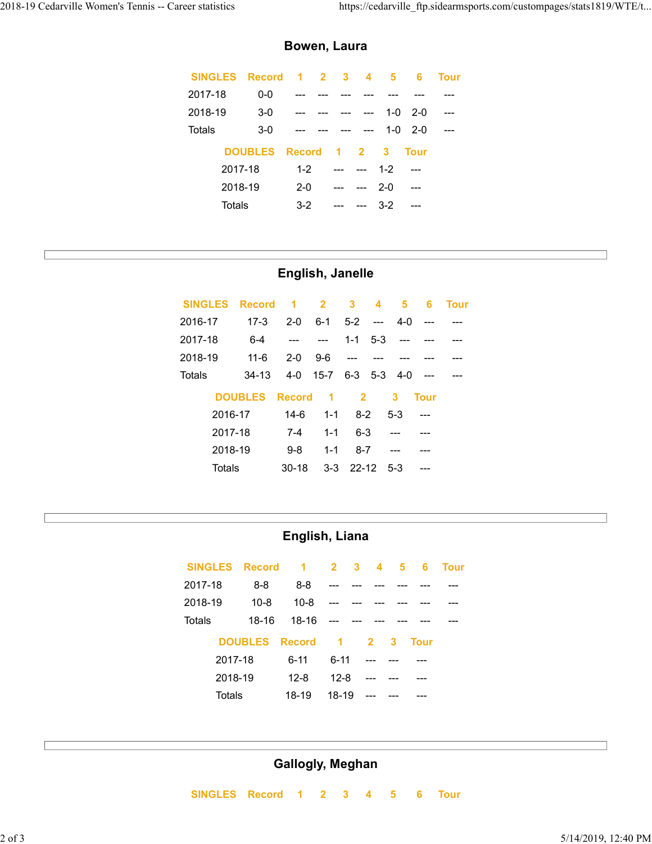#### Bowen, Laura

| reer statistics |                         |                      |                         |                         |                         |                         |                   |                         | https://cedarville_ftp.sidearmsports.com/custompages/stats1819/WTE/t |
|-----------------|-------------------------|----------------------|-------------------------|-------------------------|-------------------------|-------------------------|-------------------|-------------------------|----------------------------------------------------------------------|
|                 |                         |                      | Bowen, Laura            |                         |                         |                         |                   |                         |                                                                      |
| <b>SINGLES</b>  | <b>Record</b>           | $\blacktriangleleft$ | $\overline{2}$          | $\mathbf{3}$            | $\overline{\mathbf{4}}$ | $\overline{\mathbf{5}}$ | $6\phantom{a}$    | <b>Tour</b>             |                                                                      |
| 2017-18         | $0-0$                   | ---                  |                         |                         | $---$                   | ---                     | $---$             | $---$                   |                                                                      |
| 2018-19         | $3-0$                   |                      |                         |                         | $\overline{a}$          | $1-0$                   | $2 - 0$           | $\qquad \qquad -\qquad$ |                                                                      |
| <b>Totals</b>   | $3-0$                   |                      |                         |                         | $\overline{a}$          | $1-0$                   | $2 - 0$           | $\overline{a}$          |                                                                      |
|                 | <b>DOUBLES</b>          | <b>Record</b>        |                         | $\overline{2}$<br>1     | 3                       |                         | <b>Tour</b>       |                         |                                                                      |
|                 | 2017-18                 | $1 - 2$              |                         | $\overline{a}$<br>---   | $1 - 2$                 |                         | $\overline{a}$    |                         |                                                                      |
|                 | 2018-19                 | $2 - 0$              |                         | $\overline{a}$<br>---   | $2 - 0$                 |                         | $---$             |                         |                                                                      |
| <b>Totals</b>   |                         | $3 - 2$              |                         | $\overline{a}$<br>---   | $3-2$                   |                         | ---               |                         |                                                                      |
|                 |                         |                      |                         |                         |                         |                         |                   |                         |                                                                      |
|                 |                         |                      |                         |                         |                         |                         |                   |                         |                                                                      |
|                 |                         | English, Janelle     |                         |                         |                         |                         |                   |                         |                                                                      |
| <b>SINGLES</b>  | <b>Record</b>           | $\blacktriangleleft$ | $\overline{\mathbf{2}}$ | 3                       | 4                       | $\overline{\mathbf{5}}$ | $6\phantom{a}$    | <b>Tour</b>             |                                                                      |
| 2016-17         | $17-3$                  | $2 - 0$              | $6 - 1$                 | $5-2$                   | $\overline{a}$          | $4-0$                   | ---               |                         |                                                                      |
| 2017-18         | $6 - 4$                 | $\sim$               | $\sim$ $\sim$           | $1 - 1$                 | $5 - 3$                 | ---                     | ---               | ---                     |                                                                      |
| 2018-19         | $11-6$                  | $2 - 0$              | $9-6$                   | $\overline{a}$          | ---                     |                         |                   | ---                     |                                                                      |
| <b>Totals</b>   | $34-13$                 | $4-0$                | $15 - 7$                | $6 - 3$                 | $5-3$                   | $4-0$                   | $\qquad \qquad -$ | ---                     |                                                                      |
|                 | <b>DOUBLES Record 1</b> |                      |                         | $\overline{\mathbf{2}}$ |                         | $\mathbf{3}$            | <b>Tour</b>       |                         |                                                                      |
|                 |                         |                      |                         |                         |                         |                         |                   |                         |                                                                      |

# English, Janelle

| <b>UINULLU</b><br><b>INGCOLU</b><br>1 vul                                                      |
|------------------------------------------------------------------------------------------------|
| $0-0$<br>2017-18                                                                               |
| 2018-19<br>$3-0$<br>$1-0$<br>$2 - 0$<br>---                                                    |
| <b>Totals</b><br>$1-0$<br>$2 - 0$<br>$3-0$                                                     |
| <b>DOUBLES</b><br>3<br><b>Record</b><br><b>Tour</b><br>1<br>$\overline{2}$                     |
| 2017-18<br>$1 - 2$<br>$1 - 2$<br>---<br>---                                                    |
| 2018-19<br>$2 - 0$<br>$2 - 0$                                                                  |
| <b>Totals</b><br>$3-2$<br>$3-2$                                                                |
|                                                                                                |
|                                                                                                |
|                                                                                                |
| English, Janelle                                                                               |
| <b>SINGLES</b><br><b>Record</b><br>3<br>5<br>$\overline{2}$<br>6<br><b>Tour</b><br>1<br>4      |
| 2016-17<br>$17-3$<br>$5-2$<br>$2 - 0$<br>$6 - 1$<br>$4 - 0$<br>$\sim$ $\sim$<br>---            |
| 2017-18<br>$6 - 4$<br>$1 - 1$<br>$5 - 3$<br>$---$<br>---                                       |
| 2018-19<br>$11 - 6$<br>$2 - 0$<br>$9-6$<br>---                                                 |
| $15 - 7$<br>$6-3$ $5-3$<br><b>Totals</b><br>$4-0$<br>$4-0$<br>$34-13$<br>---                   |
| <b>DOUBLES</b><br><b>Record</b><br>$\overline{\mathbf{2}}$<br>$\mathbf{3}$<br><b>Tour</b><br>1 |
| 2016-17<br>$14-6$<br>$8 - 2$<br>$5 - 3$<br>$1 - 1$<br>---                                      |
| 2017-18<br>$1 - 1$<br>$6 - 3$<br>$7 - 4$                                                       |
| 2018-19<br>$9-8$<br>$1 - 1$<br>$8 - 7$<br>---<br>---                                           |
| <b>Totals</b><br>$30 - 18$<br>$3 - 3$<br>$22 - 12$<br>$5 - 3$<br>---                           |
|                                                                                                |
|                                                                                                |
|                                                                                                |
| English, Liana                                                                                 |
| <b>SINGLES</b><br><b>Record</b><br>1<br>$\overline{2}$<br>3<br><b>Tour</b><br>4<br>5<br>6      |
| 2017-18<br>$8 - 8$<br>$8 - 8$                                                                  |
| $10 - 8$<br>$10 - 8$<br>2018-19                                                                |
| Totals<br>18-16<br>18-16                                                                       |
| <b>DOUBLES</b><br><b>Record</b><br>$\blacktriangleleft$<br>3<br><b>Tour</b><br>$\overline{2}$  |
| $6 - 11$<br>2017-18<br>$6 - 11$                                                                |
| 2018-19<br>$12 - 8$<br>$12 - 8$                                                                |
|                                                                                                |

# English, Liana

|                | <b>DOUBLES</b> | <b>Record</b>   | $\blacktriangleleft$ | $\overline{2}$    | $\mathbf{3}$ | <b>Tour</b>     |             |
|----------------|----------------|-----------------|----------------------|-------------------|--------------|-----------------|-------------|
| 2016-17        |                | $14-6$          | $1 - 1$              | $8 - 2$           | $5-3$        | $\overline{a}$  |             |
| 2017-18        |                | $7 - 4$         | $1 - 1$              | $6 - 3$           | ---          |                 |             |
| 2018-19        |                | $9-8$           | $1 - 1$              | $8 - 7$           | ---          |                 |             |
| <b>Totals</b>  |                | $30 - 18$       | $3 - 3$              | $22 - 12$         | $5-3$        |                 |             |
|                |                |                 |                      |                   |              |                 |             |
|                |                |                 |                      |                   |              |                 |             |
|                |                | English, Liana  |                      |                   |              |                 |             |
|                |                |                 |                      |                   |              |                 |             |
| <b>SINGLES</b> | <b>Record</b>  | 1               | $\overline{2}$       | $\mathbf{3}$<br>4 | 5            | $6\phantom{1}6$ | <b>Tour</b> |
| 2017-18        | $8 - 8$        | $8 - 8$         |                      |                   |              |                 |             |
| 2018-19        | $10 - 8$       | $10 - 8$        |                      |                   |              |                 |             |
| <b>Totals</b>  | 18-16          | 18-16           |                      |                   |              |                 |             |
|                | <b>DOUBLES</b> | <b>Record</b>   | 1                    | $\overline{2}$    | 3            | <b>Tour</b>     |             |
|                | 2017-18        | $6 - 11$        | $6 - 11$             | ---               |              |                 |             |
|                | 2018-19        | $12 - 8$        | $12 - 8$             | ---               |              |                 |             |
| <b>Totals</b>  |                | 18-19           | 18-19                |                   |              |                 |             |
|                |                |                 |                      |                   |              |                 |             |
|                |                |                 |                      |                   |              |                 |             |
|                |                |                 |                      |                   |              |                 |             |
|                |                | Gallogly Moghan |                      |                   |              |                 |             |

# Gallogly, Meghan